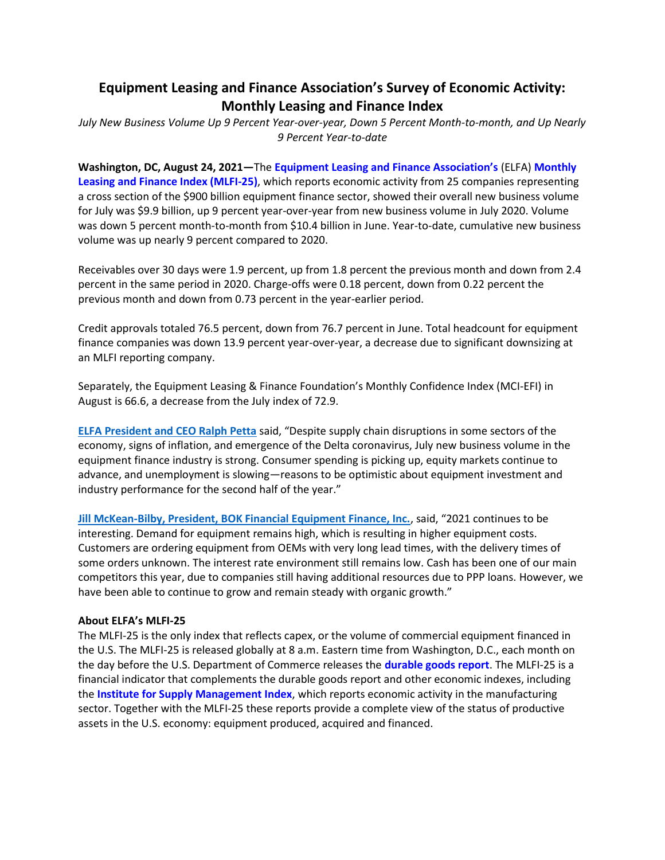# **Equipment Leasing and Finance Association's Survey of Economic Activity: Monthly Leasing and Finance Index**

*July New Business Volume Up 9 Percent Year-over-year, Down 5 Percent Month-to-month, and Up Nearly 9 Percent Year-to-date*

**Washington, DC, August 24, 2021—**The **[Equipment Leasing and Finance Association's](http://www.elfaonline.org/)** (ELFA) **[Monthly](http://www.elfaonline.org/Data/MLFI/)  [Leasing and Finance Index \(MLFI-25\)](http://www.elfaonline.org/Data/MLFI/)**, which reports economic activity from 25 companies representing a cross section of the \$900 billion equipment finance sector, showed their overall new business volume for July was \$9.9 billion, up 9 percent year-over-year from new business volume in July 2020. Volume was down 5 percent month-to-month from \$10.4 billion in June. Year-to-date, cumulative new business volume was up nearly 9 percent compared to 2020.

Receivables over 30 days were 1.9 percent, up from 1.8 percent the previous month and down from 2.4 percent in the same period in 2020. Charge-offs were 0.18 percent, down from 0.22 percent the previous month and down from 0.73 percent in the year-earlier period.

Credit approvals totaled 76.5 percent, down from 76.7 percent in June. Total headcount for equipment finance companies was down 13.9 percent year-over-year, a decrease due to significant downsizing at an MLFI reporting company.

Separately, the Equipment Leasing & Finance Foundation's Monthly Confidence Index (MCI-EFI) in August is 66.6, a decrease from the July index of 72.9.

**[ELFA President and CEO Ralph Petta](http://www.elfaonline.org/about/staff-contact-info/view-executive-staff-bios)** said, "Despite supply chain disruptions in some sectors of the economy, signs of inflation, and emergence of the Delta coronavirus, July new business volume in the equipment finance industry is strong. Consumer spending is picking up, equity markets continue to advance, and unemployment is slowing—reasons to be optimistic about equipment investment and industry performance for the second half of the year."

**[Jill McKean-Bilby, President, BOK Financial Equipment Finance, Inc.](https://www.bokfinancial.com/)**, said, "2021 continues to be interesting. Demand for equipment remains high, which is resulting in higher equipment costs. Customers are ordering equipment from OEMs with very long lead times, with the delivery times of some orders unknown. The interest rate environment still remains low. Cash has been one of our main competitors this year, due to companies still having additional resources due to PPP loans. However, we have been able to continue to grow and remain steady with organic growth."

#### **About ELFA's MLFI-25**

The MLFI-25 is the only index that reflects capex, or the volume of commercial equipment financed in the U.S. The MLFI-25 is released globally at 8 a.m. Eastern time from Washington, D.C., each month on the day before the U.S. Department of Commerce releases the **[durable goods report](http://www.census.gov/indicator/www/m3/)**. The MLFI-25 is a financial indicator that complements the durable goods report and other economic indexes, including the **[Institute for Supply Management Index](http://www.ism.ws/ISMReport/MfgROB.cfm)**, which reports economic activity in the manufacturing sector. Together with the MLFI-25 these reports provide a complete view of the status of productive assets in the U.S. economy: equipment produced, acquired and financed.